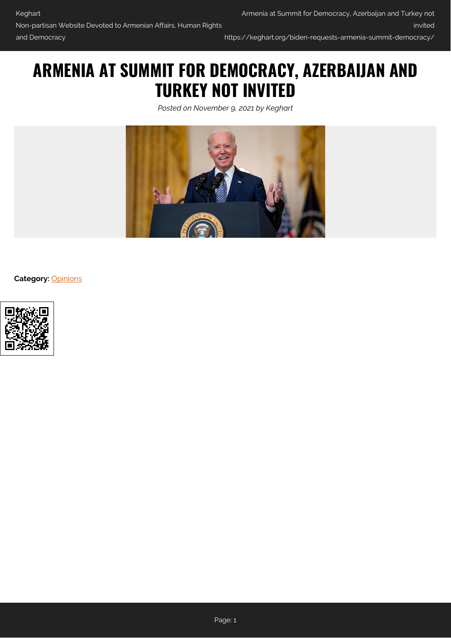https://keghart.org/biden-requests-armenia-summit-democracy/

## **ARMENIA AT SUMMIT FOR DEMOCRACY, AZERBAIJAN AND TURKEY NOT INVITED**

*Posted on November 9, 2021 by Keghart*



**Category:** [Opinions](https://keghart.org/category/opinions/)

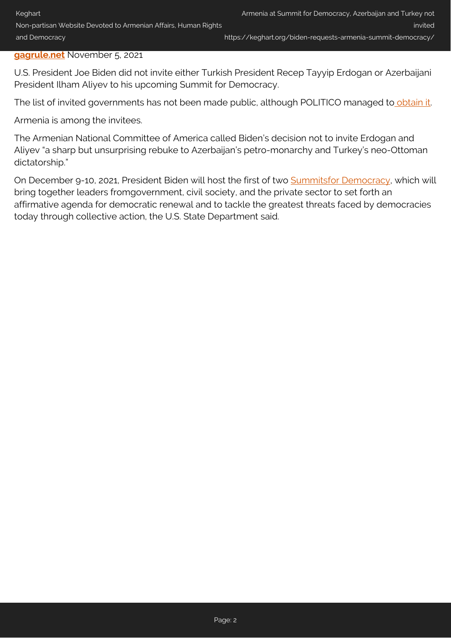## **[gagrule.net](https://gagrule.net/biden-requests-armenia-at-summit-for-democracy-azerbaijan-and-turkey-not-invited/)** November 5, 2021

U.S. President Joe Biden did not invite either Turkish President Recep Tayyip Erdogan or Azerbaijani President Ilham Aliyev to his upcoming Summit for Democracy.

The list of invited governments has not been made public, although POLITICO managed to [obtain it](https://www.politico.com/news/2021/11/04/biden-democracy-summit-technology-519530).

Armenia is among the invitees.

The Armenian National Committee of America called Biden's decision not to invite Erdogan and Aliyev "a sharp but unsurprising rebuke to Azerbaijan's petro-monarchy and Turkey's neo-Ottoman dictatorship."

On December 9-10, 2021, President Biden will host the first of two **Summitsfor Democracy**, which will bring together leaders fromgovernment, civil society, and the private sector to set forth an affirmative agenda for democratic renewal and to tackle the greatest threats faced by democracies today through collective action, the U.S. State Department said.